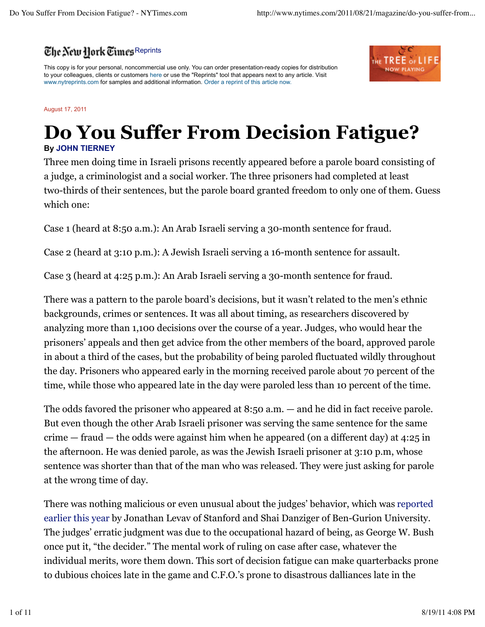

This copy is for your personal, noncommercial use only. You can order presentation-ready copies for distribution to your colleagues, clients or customers here or use the "Reprints" tool that appears next to any article. Visit www.nytreprints.com for samples and additional information. Order a reprint of this article now.

## THE  $\sf{TREE}$  of  ${\sf LIF}$ **NOW PLAYING**

## August 17, 2011

## **Do You Suffer From Decision Fatigue?**

## **By JOHN TIERNEY**

Three men doing time in Israeli prisons recently appeared before a parole board consisting of a judge, a criminologist and a social worker. The three prisoners had completed at least two-thirds of their sentences, but the parole board granted freedom to only one of them. Guess which one:

Case 1 (heard at 8:50 a.m.): An Arab Israeli serving a 30-month sentence for fraud.

Case 2 (heard at 3:10 p.m.): A Jewish Israeli serving a 16-month sentence for assault.

Case 3 (heard at 4:25 p.m.): An Arab Israeli serving a 30-month sentence for fraud.

There was a pattern to the parole board's decisions, but it wasn't related to the men's ethnic backgrounds, crimes or sentences. It was all about timing, as researchers discovered by analyzing more than 1,100 decisions over the course of a year. Judges, who would hear the prisoners' appeals and then get advice from the other members of the board, approved parole in about a third of the cases, but the probability of being paroled fluctuated wildly throughout the day. Prisoners who appeared early in the morning received parole about 70 percent of the time, while those who appeared late in the day were paroled less than 10 percent of the time.

The odds favored the prisoner who appeared at 8:50 a.m. — and he did in fact receive parole. But even though the other Arab Israeli prisoner was serving the same sentence for the same crime — fraud — the odds were against him when he appeared (on a different day) at 4:25 in the afternoon. He was denied parole, as was the Jewish Israeli prisoner at 3:10 p.m, whose sentence was shorter than that of the man who was released. They were just asking for parole at the wrong time of day.

There was nothing malicious or even unusual about the judges' behavior, which was reported earlier this year by Jonathan Levav of Stanford and Shai Danziger of Ben-Gurion University. The judges' erratic judgment was due to the occupational hazard of being, as George W. Bush once put it, "the decider." The mental work of ruling on case after case, whatever the individual merits, wore them down. This sort of decision fatigue can make quarterbacks prone to dubious choices late in the game and C.F.O.'s prone to disastrous dalliances late in the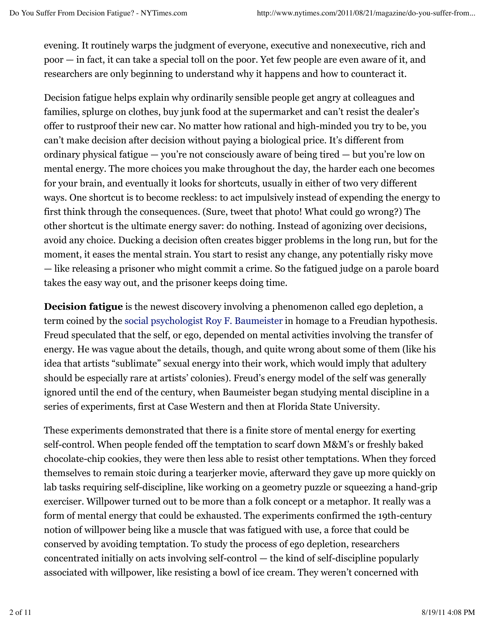evening. It routinely warps the judgment of everyone, executive and nonexecutive, rich and poor — in fact, it can take a special toll on the poor. Yet few people are even aware of it, and researchers are only beginning to understand why it happens and how to counteract it.

Decision fatigue helps explain why ordinarily sensible people get angry at colleagues and families, splurge on clothes, buy junk food at the supermarket and can't resist the dealer's offer to rustproof their new car. No matter how rational and high-minded you try to be, you can't make decision after decision without paying a biological price. It's different from ordinary physical fatigue — you're not consciously aware of being tired — but you're low on mental energy. The more choices you make throughout the day, the harder each one becomes for your brain, and eventually it looks for shortcuts, usually in either of two very different ways. One shortcut is to become reckless: to act impulsively instead of expending the energy to first think through the consequences. (Sure, tweet that photo! What could go wrong?) The other shortcut is the ultimate energy saver: do nothing. Instead of agonizing over decisions, avoid any choice. Ducking a decision often creates bigger problems in the long run, but for the moment, it eases the mental strain. You start to resist any change, any potentially risky move — like releasing a prisoner who might commit a crime. So the fatigued judge on a parole board takes the easy way out, and the prisoner keeps doing time.

**Decision fatigue** is the newest discovery involving a phenomenon called ego depletion, a term coined by the social psychologist Roy F. Baumeister in homage to a Freudian hypothesis. Freud speculated that the self, or ego, depended on mental activities involving the transfer of energy. He was vague about the details, though, and quite wrong about some of them (like his idea that artists "sublimate" sexual energy into their work, which would imply that adultery should be especially rare at artists' colonies). Freud's energy model of the self was generally ignored until the end of the century, when Baumeister began studying mental discipline in a series of experiments, first at Case Western and then at Florida State University.

These experiments demonstrated that there is a finite store of mental energy for exerting self-control. When people fended off the temptation to scarf down M&M's or freshly baked chocolate-chip cookies, they were then less able to resist other temptations. When they forced themselves to remain stoic during a tearjerker movie, afterward they gave up more quickly on lab tasks requiring self-discipline, like working on a geometry puzzle or squeezing a hand-grip exerciser. Willpower turned out to be more than a folk concept or a metaphor. It really was a form of mental energy that could be exhausted. The experiments confirmed the 19th-century notion of willpower being like a muscle that was fatigued with use, a force that could be conserved by avoiding temptation. To study the process of ego depletion, researchers concentrated initially on acts involving self-control — the kind of self-discipline popularly associated with willpower, like resisting a bowl of ice cream. They weren't concerned with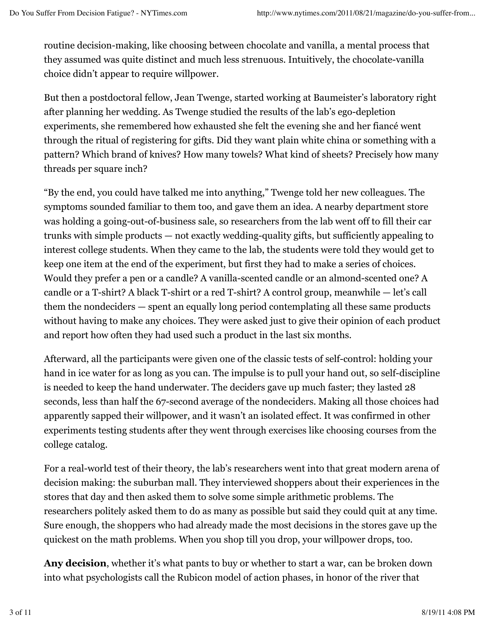routine decision-making, like choosing between chocolate and vanilla, a mental process that they assumed was quite distinct and much less strenuous. Intuitively, the chocolate-vanilla choice didn't appear to require willpower.

But then a postdoctoral fellow, Jean Twenge, started working at Baumeister's laboratory right after planning her wedding. As Twenge studied the results of the lab's ego-depletion experiments, she remembered how exhausted she felt the evening she and her fiancé went through the ritual of registering for gifts. Did they want plain white china or something with a pattern? Which brand of knives? How many towels? What kind of sheets? Precisely how many threads per square inch?

"By the end, you could have talked me into anything," Twenge told her new colleagues. The symptoms sounded familiar to them too, and gave them an idea. A nearby department store was holding a going-out-of-business sale, so researchers from the lab went off to fill their car trunks with simple products — not exactly wedding-quality gifts, but sufficiently appealing to interest college students. When they came to the lab, the students were told they would get to keep one item at the end of the experiment, but first they had to make a series of choices. Would they prefer a pen or a candle? A vanilla-scented candle or an almond-scented one? A candle or a T-shirt? A black T-shirt or a red T-shirt? A control group, meanwhile — let's call them the nondeciders — spent an equally long period contemplating all these same products without having to make any choices. They were asked just to give their opinion of each product and report how often they had used such a product in the last six months.

Afterward, all the participants were given one of the classic tests of self-control: holding your hand in ice water for as long as you can. The impulse is to pull your hand out, so self-discipline is needed to keep the hand underwater. The deciders gave up much faster; they lasted 28 seconds, less than half the 67-second average of the nondeciders. Making all those choices had apparently sapped their willpower, and it wasn't an isolated effect. It was confirmed in other experiments testing students after they went through exercises like choosing courses from the college catalog.

For a real-world test of their theory, the lab's researchers went into that great modern arena of decision making: the suburban mall. They interviewed shoppers about their experiences in the stores that day and then asked them to solve some simple arithmetic problems. The researchers politely asked them to do as many as possible but said they could quit at any time. Sure enough, the shoppers who had already made the most decisions in the stores gave up the quickest on the math problems. When you shop till you drop, your willpower drops, too.

**Any decision**, whether it's what pants to buy or whether to start a war, can be broken down into what psychologists call the Rubicon model of action phases, in honor of the river that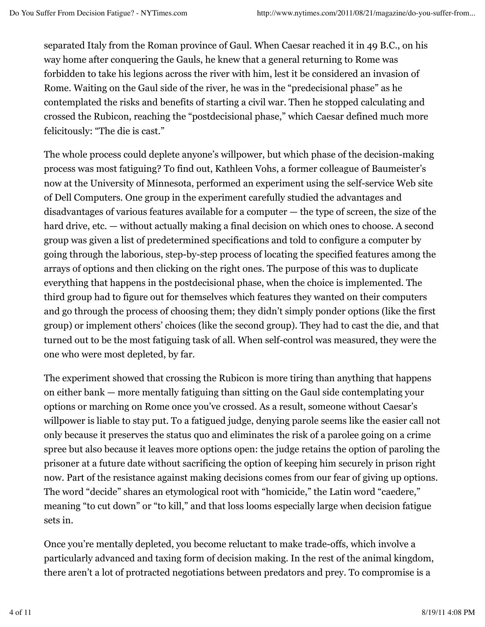separated Italy from the Roman province of Gaul. When Caesar reached it in 49 B.C., on his way home after conquering the Gauls, he knew that a general returning to Rome was forbidden to take his legions across the river with him, lest it be considered an invasion of Rome. Waiting on the Gaul side of the river, he was in the "predecisional phase" as he contemplated the risks and benefits of starting a civil war. Then he stopped calculating and crossed the Rubicon, reaching the "postdecisional phase," which Caesar defined much more felicitously: "The die is cast."

The whole process could deplete anyone's willpower, but which phase of the decision-making process was most fatiguing? To find out, Kathleen Vohs, a former colleague of Baumeister's now at the University of Minnesota, performed an experiment using the self-service Web site of Dell Computers. One group in the experiment carefully studied the advantages and disadvantages of various features available for a computer — the type of screen, the size of the hard drive, etc. — without actually making a final decision on which ones to choose. A second group was given a list of predetermined specifications and told to configure a computer by going through the laborious, step-by-step process of locating the specified features among the arrays of options and then clicking on the right ones. The purpose of this was to duplicate everything that happens in the postdecisional phase, when the choice is implemented. The third group had to figure out for themselves which features they wanted on their computers and go through the process of choosing them; they didn't simply ponder options (like the first group) or implement others' choices (like the second group). They had to cast the die, and that turned out to be the most fatiguing task of all. When self-control was measured, they were the one who were most depleted, by far.

The experiment showed that crossing the Rubicon is more tiring than anything that happens on either bank — more mentally fatiguing than sitting on the Gaul side contemplating your options or marching on Rome once you've crossed. As a result, someone without Caesar's willpower is liable to stay put. To a fatigued judge, denying parole seems like the easier call not only because it preserves the status quo and eliminates the risk of a parolee going on a crime spree but also because it leaves more options open: the judge retains the option of paroling the prisoner at a future date without sacrificing the option of keeping him securely in prison right now. Part of the resistance against making decisions comes from our fear of giving up options. The word "decide" shares an etymological root with "homicide," the Latin word "caedere," meaning "to cut down" or "to kill," and that loss looms especially large when decision fatigue sets in.

Once you're mentally depleted, you become reluctant to make trade-offs, which involve a particularly advanced and taxing form of decision making. In the rest of the animal kingdom, there aren't a lot of protracted negotiations between predators and prey. To compromise is a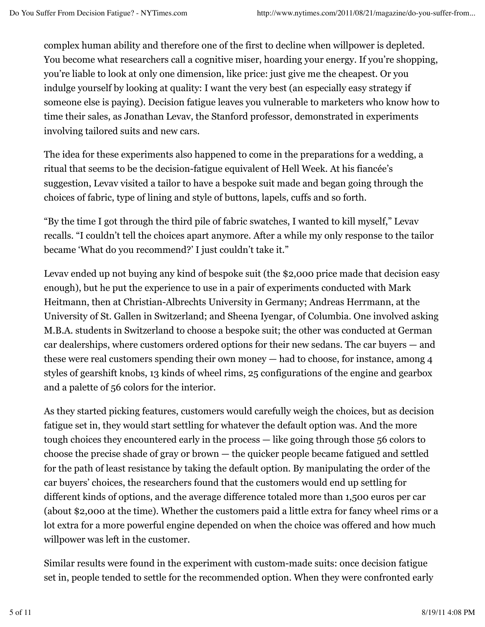complex human ability and therefore one of the first to decline when willpower is depleted. You become what researchers call a cognitive miser, hoarding your energy. If you're shopping, you're liable to look at only one dimension, like price: just give me the cheapest. Or you indulge yourself by looking at quality: I want the very best (an especially easy strategy if someone else is paying). Decision fatigue leaves you vulnerable to marketers who know how to time their sales, as Jonathan Levav, the Stanford professor, demonstrated in experiments involving tailored suits and new cars.

The idea for these experiments also happened to come in the preparations for a wedding, a ritual that seems to be the decision-fatigue equivalent of Hell Week. At his fiancée's suggestion, Levav visited a tailor to have a bespoke suit made and began going through the choices of fabric, type of lining and style of buttons, lapels, cuffs and so forth.

"By the time I got through the third pile of fabric swatches, I wanted to kill myself," Levav recalls. "I couldn't tell the choices apart anymore. After a while my only response to the tailor became 'What do you recommend?' I just couldn't take it."

Levav ended up not buying any kind of bespoke suit (the \$2,000 price made that decision easy enough), but he put the experience to use in a pair of experiments conducted with Mark Heitmann, then at Christian-Albrechts University in Germany; Andreas Herrmann, at the University of St. Gallen in Switzerland; and Sheena Iyengar, of Columbia. One involved asking M.B.A. students in Switzerland to choose a bespoke suit; the other was conducted at German car dealerships, where customers ordered options for their new sedans. The car buyers — and these were real customers spending their own money — had to choose, for instance, among 4 styles of gearshift knobs, 13 kinds of wheel rims, 25 configurations of the engine and gearbox and a palette of 56 colors for the interior.

As they started picking features, customers would carefully weigh the choices, but as decision fatigue set in, they would start settling for whatever the default option was. And the more tough choices they encountered early in the process — like going through those 56 colors to choose the precise shade of gray or brown — the quicker people became fatigued and settled for the path of least resistance by taking the default option. By manipulating the order of the car buyers' choices, the researchers found that the customers would end up settling for different kinds of options, and the average difference totaled more than 1,500 euros per car (about \$2,000 at the time). Whether the customers paid a little extra for fancy wheel rims or a lot extra for a more powerful engine depended on when the choice was offered and how much willpower was left in the customer.

Similar results were found in the experiment with custom-made suits: once decision fatigue set in, people tended to settle for the recommended option. When they were confronted early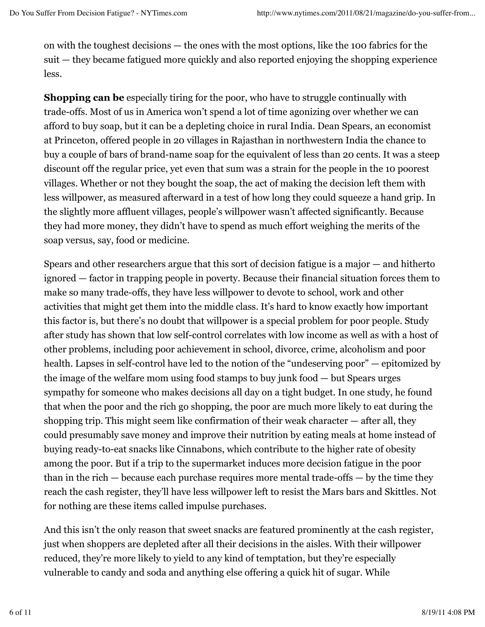on with the toughest decisions — the ones with the most options, like the 100 fabrics for the suit — they became fatigued more quickly and also reported enjoying the shopping experience less.

**Shopping can be** especially tiring for the poor, who have to struggle continually with trade-offs. Most of us in America won't spend a lot of time agonizing over whether we can afford to buy soap, but it can be a depleting choice in rural India. Dean Spears, an economist at Princeton, offered people in 20 villages in Rajasthan in northwestern India the chance to buy a couple of bars of brand-name soap for the equivalent of less than 20 cents. It was a steep discount off the regular price, yet even that sum was a strain for the people in the 10 poorest villages. Whether or not they bought the soap, the act of making the decision left them with less willpower, as measured afterward in a test of how long they could squeeze a hand grip. In the slightly more affluent villages, people's willpower wasn't affected significantly. Because they had more money, they didn't have to spend as much effort weighing the merits of the soap versus, say, food or medicine.

Spears and other researchers argue that this sort of decision fatigue is a major — and hitherto ignored — factor in trapping people in poverty. Because their financial situation forces them to make so many trade-offs, they have less willpower to devote to school, work and other activities that might get them into the middle class. It's hard to know exactly how important this factor is, but there's no doubt that willpower is a special problem for poor people. Study after study has shown that low self-control correlates with low income as well as with a host of other problems, including poor achievement in school, divorce, crime, alcoholism and poor health. Lapses in self-control have led to the notion of the "undeserving poor" — epitomized by the image of the welfare mom using food stamps to buy junk food — but Spears urges sympathy for someone who makes decisions all day on a tight budget. In one study, he found that when the poor and the rich go shopping, the poor are much more likely to eat during the shopping trip. This might seem like confirmation of their weak character  $-$  after all, they could presumably save money and improve their nutrition by eating meals at home instead of buying ready-to-eat snacks like Cinnabons, which contribute to the higher rate of obesity among the poor. But if a trip to the supermarket induces more decision fatigue in the poor than in the rich  $-$  because each purchase requires more mental trade-offs  $-$  by the time they reach the cash register, they'll have less willpower left to resist the Mars bars and Skittles. Not for nothing are these items called impulse purchases.

And this isn't the only reason that sweet snacks are featured prominently at the cash register, just when shoppers are depleted after all their decisions in the aisles. With their willpower reduced, they're more likely to yield to any kind of temptation, but they're especially vulnerable to candy and soda and anything else offering a quick hit of sugar. While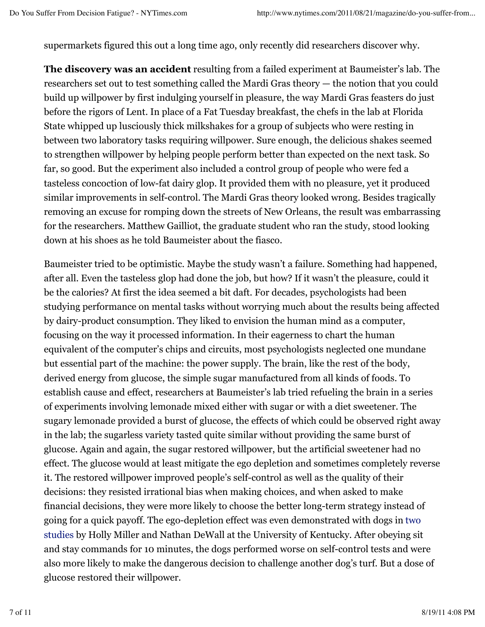supermarkets figured this out a long time ago, only recently did researchers discover why.

**The discovery was an accident** resulting from a failed experiment at Baumeister's lab. The researchers set out to test something called the Mardi Gras theory — the notion that you could build up willpower by first indulging yourself in pleasure, the way Mardi Gras feasters do just before the rigors of Lent. In place of a Fat Tuesday breakfast, the chefs in the lab at Florida State whipped up lusciously thick milkshakes for a group of subjects who were resting in between two laboratory tasks requiring willpower. Sure enough, the delicious shakes seemed to strengthen willpower by helping people perform better than expected on the next task. So far, so good. But the experiment also included a control group of people who were fed a tasteless concoction of low-fat dairy glop. It provided them with no pleasure, yet it produced similar improvements in self-control. The Mardi Gras theory looked wrong. Besides tragically removing an excuse for romping down the streets of New Orleans, the result was embarrassing for the researchers. Matthew Gailliot, the graduate student who ran the study, stood looking down at his shoes as he told Baumeister about the fiasco.

Baumeister tried to be optimistic. Maybe the study wasn't a failure. Something had happened, after all. Even the tasteless glop had done the job, but how? If it wasn't the pleasure, could it be the calories? At first the idea seemed a bit daft. For decades, psychologists had been studying performance on mental tasks without worrying much about the results being affected by dairy-product consumption. They liked to envision the human mind as a computer, focusing on the way it processed information. In their eagerness to chart the human equivalent of the computer's chips and circuits, most psychologists neglected one mundane but essential part of the machine: the power supply. The brain, like the rest of the body, derived energy from glucose, the simple sugar manufactured from all kinds of foods. To establish cause and effect, researchers at Baumeister's lab tried refueling the brain in a series of experiments involving lemonade mixed either with sugar or with a diet sweetener. The sugary lemonade provided a burst of glucose, the effects of which could be observed right away in the lab; the sugarless variety tasted quite similar without providing the same burst of glucose. Again and again, the sugar restored willpower, but the artificial sweetener had no effect. The glucose would at least mitigate the ego depletion and sometimes completely reverse it. The restored willpower improved people's self-control as well as the quality of their decisions: they resisted irrational bias when making choices, and when asked to make financial decisions, they were more likely to choose the better long-term strategy instead of going for a quick payoff. The ego-depletion effect was even demonstrated with dogs in two studies by Holly Miller and Nathan DeWall at the University of Kentucky. After obeying sit and stay commands for 10 minutes, the dogs performed worse on self-control tests and were also more likely to make the dangerous decision to challenge another dog's turf. But a dose of glucose restored their willpower.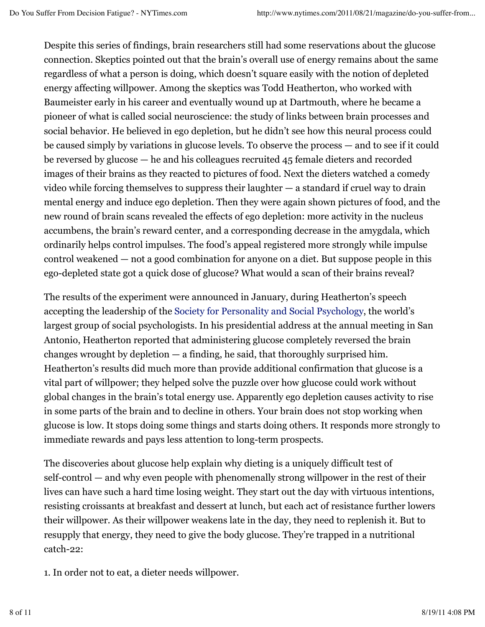Despite this series of findings, brain researchers still had some reservations about the glucose connection. Skeptics pointed out that the brain's overall use of energy remains about the same regardless of what a person is doing, which doesn't square easily with the notion of depleted energy affecting willpower. Among the skeptics was Todd Heatherton, who worked with Baumeister early in his career and eventually wound up at Dartmouth, where he became a pioneer of what is called social neuroscience: the study of links between brain processes and social behavior. He believed in ego depletion, but he didn't see how this neural process could be caused simply by variations in glucose levels. To observe the process — and to see if it could be reversed by glucose — he and his colleagues recruited 45 female dieters and recorded images of their brains as they reacted to pictures of food. Next the dieters watched a comedy video while forcing themselves to suppress their laughter — a standard if cruel way to drain mental energy and induce ego depletion. Then they were again shown pictures of food, and the new round of brain scans revealed the effects of ego depletion: more activity in the nucleus accumbens, the brain's reward center, and a corresponding decrease in the amygdala, which ordinarily helps control impulses. The food's appeal registered more strongly while impulse control weakened — not a good combination for anyone on a diet. But suppose people in this ego-depleted state got a quick dose of glucose? What would a scan of their brains reveal?

The results of the experiment were announced in January, during Heatherton's speech accepting the leadership of the Society for Personality and Social Psychology, the world's largest group of social psychologists. In his presidential address at the annual meeting in San Antonio, Heatherton reported that administering glucose completely reversed the brain changes wrought by depletion  $-$  a finding, he said, that thoroughly surprised him. Heatherton's results did much more than provide additional confirmation that glucose is a vital part of willpower; they helped solve the puzzle over how glucose could work without global changes in the brain's total energy use. Apparently ego depletion causes activity to rise in some parts of the brain and to decline in others. Your brain does not stop working when glucose is low. It stops doing some things and starts doing others. It responds more strongly to immediate rewards and pays less attention to long-term prospects.

The discoveries about glucose help explain why dieting is a uniquely difficult test of self-control — and why even people with phenomenally strong willpower in the rest of their lives can have such a hard time losing weight. They start out the day with virtuous intentions, resisting croissants at breakfast and dessert at lunch, but each act of resistance further lowers their willpower. As their willpower weakens late in the day, they need to replenish it. But to resupply that energy, they need to give the body glucose. They're trapped in a nutritional catch-22:

1. In order not to eat, a dieter needs willpower.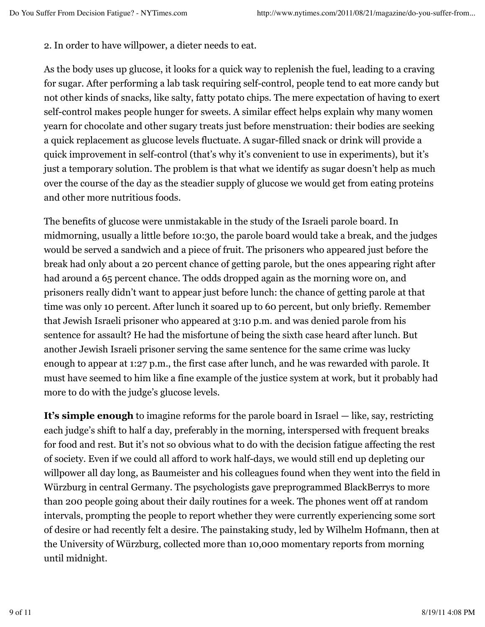2. In order to have willpower, a dieter needs to eat.

As the body uses up glucose, it looks for a quick way to replenish the fuel, leading to a craving for sugar. After performing a lab task requiring self-control, people tend to eat more candy but not other kinds of snacks, like salty, fatty potato chips. The mere expectation of having to exert self-control makes people hunger for sweets. A similar effect helps explain why many women yearn for chocolate and other sugary treats just before menstruation: their bodies are seeking a quick replacement as glucose levels fluctuate. A sugar-filled snack or drink will provide a quick improvement in self-control (that's why it's convenient to use in experiments), but it's just a temporary solution. The problem is that what we identify as sugar doesn't help as much over the course of the day as the steadier supply of glucose we would get from eating proteins and other more nutritious foods.

The benefits of glucose were unmistakable in the study of the Israeli parole board. In midmorning, usually a little before 10:30, the parole board would take a break, and the judges would be served a sandwich and a piece of fruit. The prisoners who appeared just before the break had only about a 20 percent chance of getting parole, but the ones appearing right after had around a 65 percent chance. The odds dropped again as the morning wore on, and prisoners really didn't want to appear just before lunch: the chance of getting parole at that time was only 10 percent. After lunch it soared up to 60 percent, but only briefly. Remember that Jewish Israeli prisoner who appeared at 3:10 p.m. and was denied parole from his sentence for assault? He had the misfortune of being the sixth case heard after lunch. But another Jewish Israeli prisoner serving the same sentence for the same crime was lucky enough to appear at 1:27 p.m., the first case after lunch, and he was rewarded with parole. It must have seemed to him like a fine example of the justice system at work, but it probably had more to do with the judge's glucose levels.

**It's simple enough** to imagine reforms for the parole board in Israel — like, say, restricting each judge's shift to half a day, preferably in the morning, interspersed with frequent breaks for food and rest. But it's not so obvious what to do with the decision fatigue affecting the rest of society. Even if we could all afford to work half-days, we would still end up depleting our willpower all day long, as Baumeister and his colleagues found when they went into the field in Würzburg in central Germany. The psychologists gave preprogrammed BlackBerrys to more than 200 people going about their daily routines for a week. The phones went off at random intervals, prompting the people to report whether they were currently experiencing some sort of desire or had recently felt a desire. The painstaking study, led by Wilhelm Hofmann, then at the University of Würzburg, collected more than 10,000 momentary reports from morning until midnight.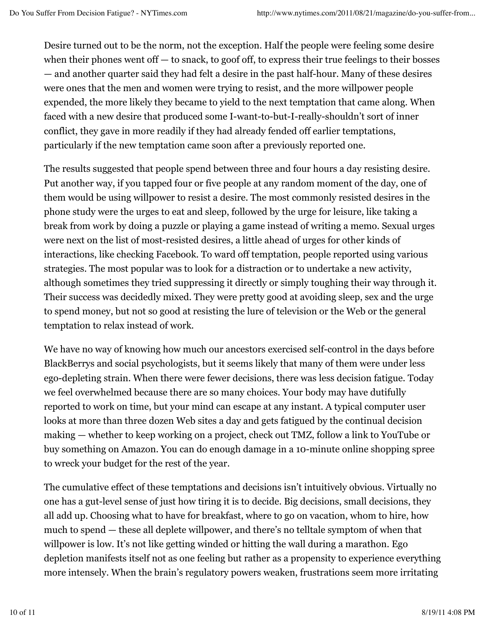Desire turned out to be the norm, not the exception. Half the people were feeling some desire when their phones went of  $-$  to snack, to goof off, to express their true feelings to their bosses — and another quarter said they had felt a desire in the past half-hour. Many of these desires were ones that the men and women were trying to resist, and the more willpower people expended, the more likely they became to yield to the next temptation that came along. When faced with a new desire that produced some I-want-to-but-I-really-shouldn't sort of inner conflict, they gave in more readily if they had already fended off earlier temptations, particularly if the new temptation came soon after a previously reported one.

The results suggested that people spend between three and four hours a day resisting desire. Put another way, if you tapped four or five people at any random moment of the day, one of them would be using willpower to resist a desire. The most commonly resisted desires in the phone study were the urges to eat and sleep, followed by the urge for leisure, like taking a break from work by doing a puzzle or playing a game instead of writing a memo. Sexual urges were next on the list of most-resisted desires, a little ahead of urges for other kinds of interactions, like checking Facebook. To ward off temptation, people reported using various strategies. The most popular was to look for a distraction or to undertake a new activity, although sometimes they tried suppressing it directly or simply toughing their way through it. Their success was decidedly mixed. They were pretty good at avoiding sleep, sex and the urge to spend money, but not so good at resisting the lure of television or the Web or the general temptation to relax instead of work.

We have no way of knowing how much our ancestors exercised self-control in the days before BlackBerrys and social psychologists, but it seems likely that many of them were under less ego-depleting strain. When there were fewer decisions, there was less decision fatigue. Today we feel overwhelmed because there are so many choices. Your body may have dutifully reported to work on time, but your mind can escape at any instant. A typical computer user looks at more than three dozen Web sites a day and gets fatigued by the continual decision making — whether to keep working on a project, check out TMZ, follow a link to YouTube or buy something on Amazon. You can do enough damage in a 10-minute online shopping spree to wreck your budget for the rest of the year.

The cumulative effect of these temptations and decisions isn't intuitively obvious. Virtually no one has a gut-level sense of just how tiring it is to decide. Big decisions, small decisions, they all add up. Choosing what to have for breakfast, where to go on vacation, whom to hire, how much to spend — these all deplete willpower, and there's no telltale symptom of when that willpower is low. It's not like getting winded or hitting the wall during a marathon. Ego depletion manifests itself not as one feeling but rather as a propensity to experience everything more intensely. When the brain's regulatory powers weaken, frustrations seem more irritating